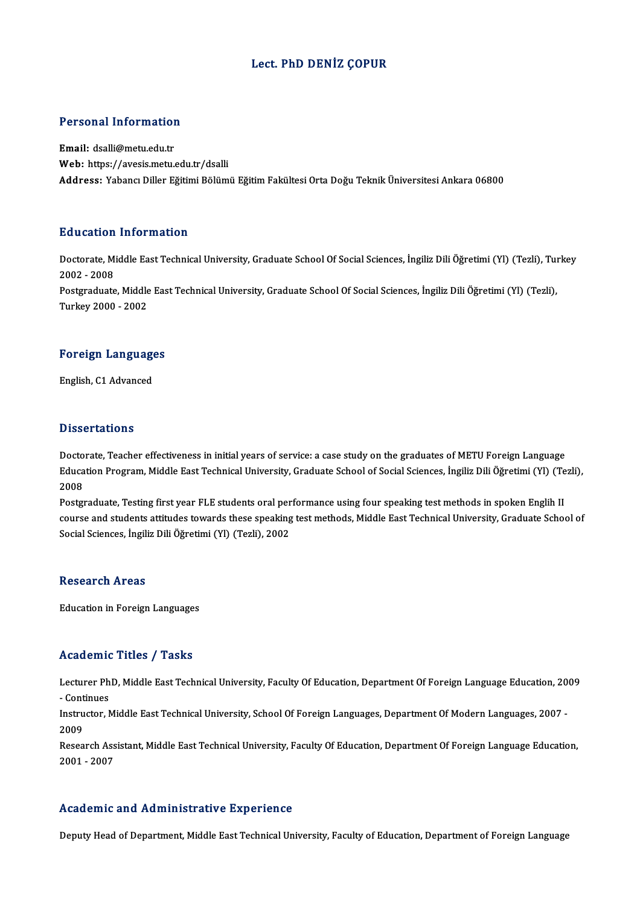#### Lect. PhD DENİZ ÇOPUR

# Personal Information

Personal Information<br>Email: dsalli@metu.edu.tr<br>Web: https://avesis.mstv Email: dsalli@metu.edu.tr<br>Web: https://avesis.metu.edu.tr/dsalli Address: Yabancı Diller Eğitimi Bölümü Eğitim Fakültesi Orta Doğu Teknik Üniversitesi Ankara 06800

#### Education Information

**Education Information**<br>Doctorate, Middle East Technical University, Graduate School Of Social Sciences, İngiliz Dili Öğretimi (Yl) (Tezli), Turkey<br>2002 - 2008 2002 -2008<br>2002 - 2008<br>Postareduate Doctorate, Middle East Technical University, Graduate School Of Social Sciences, İngiliz Dili Öğretimi (Yl) (Tezli), Tui<br>2002 - 2008<br>Postgraduate, Middle East Technical University, Graduate School Of Social Sciences, İngil 2002 - 2008<br>Postgraduate, Middle<br>Turkey 2000 - 2002

## Turkey 2000 - 2002<br>Foreign Languages F<mark>oreign Languag</mark>e<br>English, C1 Advanced

English, C1 Advanced<br>Dissertations

Doctorate, Teacher effectiveness in initial years of service: a case study on the graduates of METU Foreign Language Bassea cations<br>Doctorate, Teacher effectiveness in initial years of service: a case study on the graduates of METU Foreign Language<br>Education Program, Middle East Technical University, Graduate School of Social Sciences, İ Docto<br>Educa<br>2008<br>Poster Education Program, Middle East Technical University, Graduate School of Social Sciences, İngiliz Dili Öğretimi (Yl) (T<br>2008<br>Postgraduate, Testing first year FLE students oral performance using four speaking test methods in

2008<br>Postgraduate, Testing first year FLE students oral performance using four speaking test methods in spoken Englih II<br>course and students attitudes towards these speaking test methods, Middle East Technical University, Postgraduate, Testing first year FLE students oral per<br>course and students attitudes towards these speaking<br>Social Sciences, İngiliz Dili Öğretimi (Yl) (Tezli), 2002 Social Sciences, İngiliz Dili Öğretimi (Yl) (Tezli), 2002<br>Research Areas

Education in Foreign Languages

#### Academic Titles / Tasks

Academic Titles / Tasks<br>Lecturer PhD, Middle East Technical University, Faculty Of Education, Department Of Foreign Language Education, 2009<br>Continues Lecturer Ph<br>Lecturer Ph<br>Instructor M Lecturer PhD, Middle East Technical University, Faculty Of Education, Department Of Foreign Language Education, 20<br>- Continues<br>Instructor, Middle East Technical University, School Of Foreign Languages, Department Of Modern

- Continues<br>Instructor, Middle East Technical University, School Of Foreign Languages, Department Of Modern Languages, 2007<br>2009 Instructor, Middle East Technical University, School Of Foreign Languages, Department Of Modern Languages, 2007<br>2009<br>Research Assistant, Middle East Technical University, Faculty Of Education, Department Of Foreign Languag

2009<br>Research Ass<br>2001 - 2007

# Academic and Administrative Experience

Deputy Head of Department, Middle East Technical University, Faculty of Education, Department of Foreign Language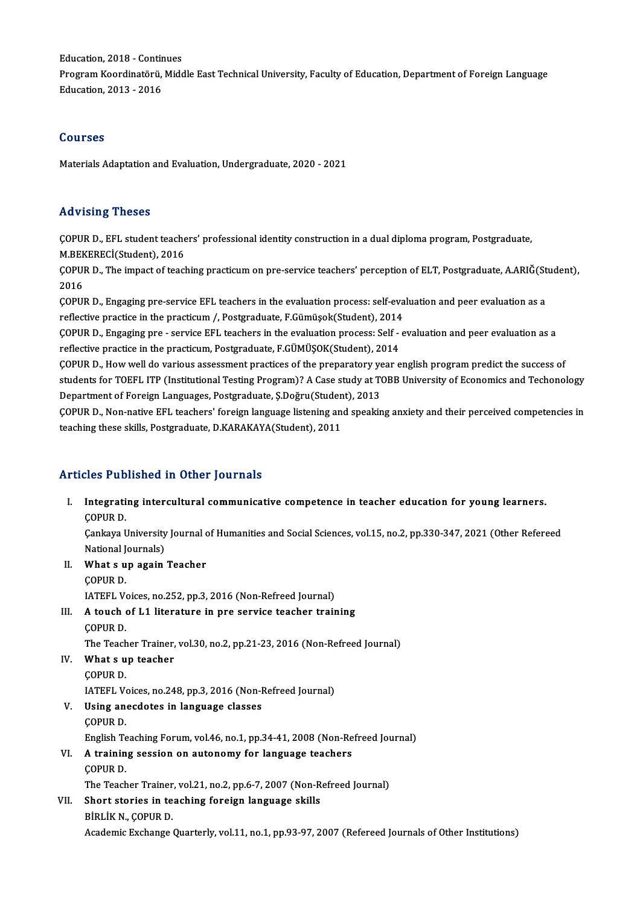Education, 2018 - Continues<br>Pregram Keendinatërë: Mide

Program Koordinatörü, Middle East Technical University, Faculty of Education, Department of Foreign Language<br>Education, 2013 - 2016 Education, 2018 - Contir<br>Program Koordinatörü,<br>Education, 2013 - 2016

#### Courses

Materials Adaptation and Evaluation, Undergraduate, 2020 - 2021

#### Advising Theses

Advising Theses<br>ÇOPUR D., EFL student teachers' professional identity construction in a dual diploma program, Postgraduate,<br>M.REKERECİ(Student), 2016 MAYISING THESES<br>COPUR D., EFL student teache<br>M.BEKERECİ(Student), 2016<br>COPUR D., The impact of teach ÇOPUR D., EFL student teachers' professional identity construction in a dual diploma program, Postgraduate,<br>M.BEKERECİ(Student), 2016<br>ÇOPUR D., The impact of teaching practicum on pre-service teachers' perception of ELT, P

M.BEKERECİ(Student), 2016<br>ÇOPUR D., The impact of teac<br>2016 COPUR D., The impact of teaching practicum on pre-service teachers' perception of ELT, Postgraduate, A.ARIĞ(St<br>2016<br>COPUR D., Engaging pre-service EFL teachers in the evaluation process: self-evaluation and peer evaluation

ÇOPUR D., Engaging pre-service EFL teachers in the evaluation process: self-evaluation and peer evaluation as a<br>reflective practice in the practicum /, Postgraduate, F.Gümüşok(Student), 2014 COPUR D., Engaging pre-service EFL teachers in the evaluation process: self-evaluation and peer evaluation as a<br>reflective practice in the practicum /, Postgraduate, F.Gümüşok(Student), 2014<br>COPUR D., Engaging pre - servic

reflective practice in the practicum, Postgraduate, F.GÜMÜŞOK(Student), 2014<br>COPUR D., How well do various assessment practices of the preparatory year english program predict the success of COPUR D., Engaging pre - service EFL teachers in the evaluation process: Self - evaluation and peer evaluation as a<br>reflective practice in the practicum, Postgraduate, F.GÜMÜŞOK(Student), 2014<br>COPUR D., How well do various

reflective practice in the practicum, Postgraduate, F.GÜMÜŞOK(Student), 2014<br>ÇOPUR D., How well do various assessment practices of the preparatory year english program predict the success of<br>students for TOEFL ITP (Institu COPUR D., How well do various assessment practices of the preparatory ye<br>students for TOEFL ITP (Institutional Testing Program)? A Case study at TO<br>Department of Foreign Languages, Postgraduate, S.Doğru(Student), 2013<br>COBU students for TOEFL ITP (Institutional Testing Program)? A Case study at TOBB University of Economics and Techonology<br>Department of Foreign Languages, Postgraduate, Ş.Doğru(Student), 2013<br>ÇOPUR D., Non-native EFL teachers'

Department of Foreign Languages, Postgraduate, Ş.Doğru(Student), 2013<br>ÇOPUR D., Non-native EFL teachers' foreign language listening and speaking anxiety and their perceived competencies in<br>teaching these skills, Postgradua

### Articles Published in Other Journals

rticles Published in Other Journals<br>I. Integrating intercultural communicative competence in teacher education for young learners.<br>COPUP D Integrati<br>COPUR D. Integrating intercultural communicative competence in teacher education for young learners.<br>ÇOPUR D.<br>Çankaya University Journal of Humanities and Social Sciences, vol.15, no.2, pp.330-347, 2021 (Other Refereed<br>National Jou ÇOPUR D.<br>Çankaya University Journal of Humanities and Social Sciences, vol.15, no.2, pp.330-347, 2021 (Other Refereed<br>National Journals) Cankaya University Journal c<br>National Journals)<br>II. What s up again Teacher<br>COPUP D National J<br>**What s u<br>COPUR D.**<br>LATEEL V. What s up again Teacher<br>COPUR D.<br>IATEFL Voices, no.252, pp.3, 2016 (Non-Refreed Journal)<br>A touch of L1 literature in nue service teacher train COPUR D.<br>IATEFL Voices, no.252, pp.3, 2016 (Non-Refreed Journal)<br>III. A touch of L1 literature in pre service teacher training<br>COPUR D. **IATEFL V**<br>**A touch (**<br>COPUR D.<br>The Teach A touch of L1 literature in pre service teacher training<br>COPUR D.<br>The Teacher Trainer, vol.30, no.2, pp.21-23, 2016 (Non-Refreed Journal)<br>What s un teacher IV. What s up teacher The Teach<br>W<mark>hat s u</mark><br>ÇOPUR D.<br>LATEEL V IATEFL Voices, no.248, pp.3, 2016 (Non-Refreed Journal) V. Using anecdotes in language classes ÇOPURD. Using anecdotes in language classes<br>ÇOPUR D.<br>English Teaching Forum, vol.46, no.1, pp.34-41, 2008 (Non-Refreed Journal)<br>A training session on autonomy for language teachers COPUR D.<br>English Teaching Forum, vol.46, no.1, pp.34-41, 2008 (Non-Re<br>VI. A training session on autonomy for language teachers English Te<br>**A trainin<br>ÇOPUR D.**<br>The Teach A training session on autonomy for language teachers<br>COPUR D.<br>The Teacher Trainer, vol.21, no.2, pp.6-7, 2007 (Non-Refreed Journal)<br>Short staries in teaching fansisn language skille COPUR D.<br>The Teacher Trainer, vol.21, no.2, pp.6-7, 2007 (Non-R<br>VII. Short stories in teaching foreign language skills<br>BİRLİK N., COPUR D. The Teacher Trainer<br>Short stories in te<br>BİRLİK N., ÇOPUR D.<br>Academis Exchange Academic Exchange Quarterly, vol.11, no.1, pp.93-97, 2007 (Refereed Journals of Other Institutions)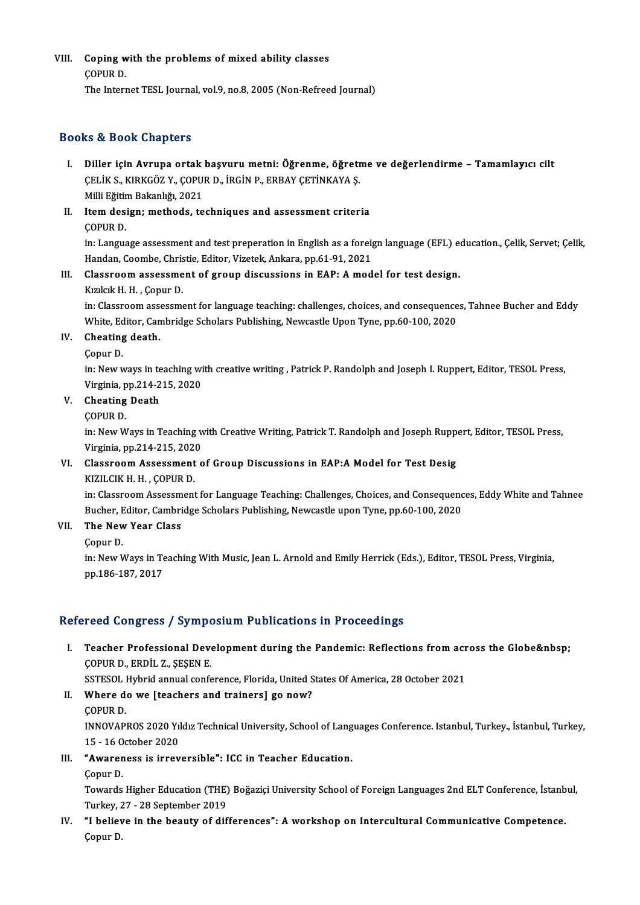VIII. Coping with the problems of mixed ability classes ÇOPURD. The Internet TESL Journal, vol.9, no.8, 2005 (Non-Refreed Journal)

#### Books&Book Chapters

- OOks & BOOk Chapters<br>I. Diller için Avrupa ortak başvuru metni: Öğrenme, öğretme ve değerlendirme Tamamlayıcı cilt<br>- CELİK S, KIRKÇÖZ V, CORUR D, İRÇİN R, ERRAY CETİNKAYA S tə di bəsin dilaptarı<br>Diller için Avrupa ortak başvuru metni: Öğrenme, öğreti<br>ÇELİK S., KIRKGÖZ Y., ÇOPUR D., İRGİN P., ERBAY ÇETİNKAYA Ş.<br>Milli Fğitim Pokanlığı 2021 Diller için Avrupa ortak<br>ÇELİK S., KIRKGÖZ Y., ÇOPU<br>Milli Eğitim Bakanlığı, 2021<br>Itam desisnı methods, te CELIK S., KIRKGÖZ Y., COPUR D., İRGİN P., ERBAY ÇETİNKAYA Ş.<br>Milli Eğitim Bakanlığı, 2021<br>II. Item design; methods, techniques and assessment criteria<br>COPUP D.
- Milli Eğitir<br>Item des:<br>ÇOPUR D.<br>in:Langus COPUR D.<br>in: Language assessment and test preperation in English as a foreign language (EFL) education., Çelik, Servet; Çelik,

COPUR D.<br>in: Language assessment and test preperation in English as a foreign:<br>Handan, Coombe, Christie, Editor, Vizetek, Ankara, pp.61-91, 2021<br>Classreem, assessment of sreun, discussions, in FAB: A med

## III. Classroom assessment of group discussions in EAP: A model for test design.<br>Kizilcik H. H., Copur D. Handan, Coombe, Chris<br>Classroom assessme<br>Kızılcık H. H. , Çopur D.<br>in: Classroom assessme

in: Classroom assessment for language teaching: challenges, choices, and consequences, Tahnee Bucher and Eddy Kızılcık H. H. , Çopur D.<br>in: Classroom assessment for language teaching: challenges, choices, and consequence<br>White, Editor, Cambridge Scholars Publishing, Newcastle Upon Tyne, pp.60-100, 2020<br>Cheating death White, Ed<br>Cheating<br>Çopur D.<br>in: Now y

### IV. Cheating death.<br>Copur D.

Cheating death.<br>Çopur D.<br>in: New ways in teaching with creative writing , Patrick P. Randolph and Joseph I. Ruppert, Editor, TESOL Press, Copur D.<br>in: New ways in teaching wi<br>Virginia, pp.214-215, 2020<br>Chaating Daath in: New ways in the Virginia, pp.214-2<br>V. Cheating Death<br>COPUP D. Virginia, p<br>Cheating<br>ÇOPUR D.<br>in: Now W

Cheating Death<br>ÇOPUR D.<br>in: New Ways in Teaching with Creative Writing, Patrick T. Randolph and Joseph Ruppert, Editor, TESOL Press,<br>Virginia. np.214, 215, 2020. COPUR D.<br>in: New Ways in Teaching w<br>Virginia, pp.214-215, 2020<br>Classroom Assessment s in: New Ways in Teaching with Creative Writing, Patrick T. Randolph and Joseph Rupp<br>Virginia, pp.214-215, 2020<br>VI. Classroom Assessment of Group Discussions in EAP:A Model for Test Desig<br>VIZU CIV H. H. COPUP D

## Virginia, pp.214-215, 2020<br>Classroom Assessment<br>KIZILCIK H. H. , ÇOPUR D.<br>in: Classroom Assessment

KIZILCIK H. H. , ÇOPUR D.<br>in: Classroom Assessment for Language Teaching: Challenges, Choices, and Consequences, Eddy White and Tahnee KIZILCIK H. H. , ÇOPUR D.<br>in: Classroom Assessment for Language Teaching: Challenges, Choices, and Consequenc<br>Bucher, Editor, Cambridge Scholars Publishing, Newcastle upon Tyne, pp.60-100, 2020<br>The New Year Class Bucher, E<br>The New<br>Çopur D.<br>in: New V

### VII. The New Year Class<br>Copur D.

The New Year Class<br>Çopur D.<br>in: New Ways in Teaching With Music, Jean L. Arnold and Emily Herrick (Eds.), Editor, TESOL Press, Virginia,<br>nn 196 197 2017 Çopur D.<br>in: New Ways in Te<br>pp.186-187, 2017

# pp.186-187, 2017<br>Refereed Congress / Symposium Publications in Proceedings

efereed Congress / Symposium Publications in Proceedings<br>I. Teacher Professional Development during the Pandemic: Reflections from across the Globe&nbsp;<br>COPUP D. FPDU Z. SESEN F Teacher Professional Devel<br>COPUR D., ERDİL Z., ŞEŞEN E.<br>SSTESOL Hubrid annual canfe Teacher Professional Development during the Pandemic: Reflections from acr<br>ÇOPUR D., ERDİL Z., ŞEŞEN E.<br>SSTESOL Hybrid annual conference, Florida, United States Of America, 28 October 2021<br>Whore do we [teachers and trainar

- COPUR D., ERDİL Z., ŞEŞEN E.<br>SSTESOL Hybrid annual conference, Florida, United S.<br>II. Where do we [teachers and trainers] go now?<br>COPUR D. SSTESOL<br>Where de<br>COPUR D.<br>INNOVARI Where do we [teachers and trainers] go now?<br>ÇOPUR D.<br>INNOVAPROS 2020 Yıldız Technical University, School of Languages Conference. Istanbul, Turkey., İstanbul, Turkey, COPUR D.<br>INNOVAPROS 2020 Yıl<br>15 - 16 October 2020<br>"Awaranasa is innev INNOVAPROS 2020 Yıldız Technical University, School of Lang<br>15 - 16 October 2020<br>III. "Awareness is irreversible": ICC in Teacher Education.
- 15 16 0<br>**"Awaren**<br>Çopur D.<br>Tourade
	-

**"Awareness is irreversible": ICC in Teacher Education.**<br>Çopur D.<br>Towards Higher Education (THE) Boğaziçi University School of Foreign Languages 2nd ELT Conference, İstanbul,<br>Turkay 27, 28 Sentember 2019. Copur D.<br>Towards Higher Education (THE)<br>Turkey, 27 - 28 September 2019<br>"I holiave in the beauty of dif Turkey, 27 - 28 September 2019

IV. "I believe in the beauty of differences": A workshop on Intercultural Communicative Competence.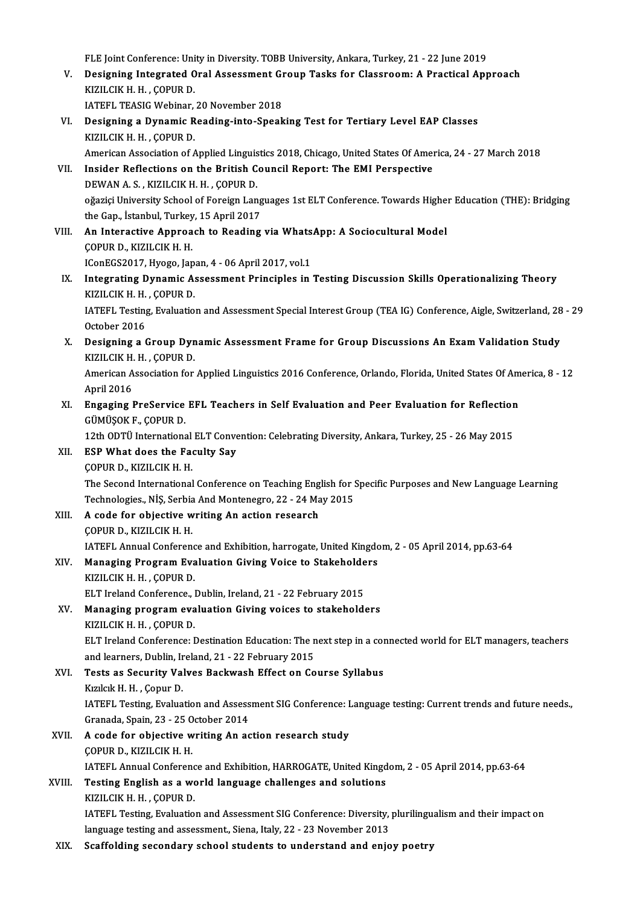FLE Joint Conference: Unity in Diversity. TOBB University, Ankara, Turkey, 21 - 22 June 2019<br>Designing Integrated Oral Assessment Croup Tasks for Classroom: A Prastical Any

- FLE Joint Conference: Unity in Diversity. TOBB University, Ankara, Turkey, 21 22 June 2019<br>V. Designing Integrated Oral Assessment Group Tasks for Classroom: A Practical Approach<br>V. FLE Joint Conference: Uni<br>Designing Integrated O<br>KIZILCIK H. H. , ÇOPUR D.<br>LATEEL TEASIC Wobinan Designing Integrated Oral Assessment G<br>KIZILCIK H. H. , ÇOPUR D.<br>IATEFL TEASIG Webinar, 20 November 2018<br>Designing a Dunamis Beading inte Speak
- KIZILCIK H. H., ÇOPUR D.<br>IATEFL TEASIG Webinar, 20 November 2018<br>VI. Designing a Dynamic Reading-into-Speaking Test for Tertiary Level EAP Classes<br>KIZILCIK H. H. COBUR D. IATEFL TEASIG Webinar,<br>Designing a Dynamic R<br>KIZILCIK H. H. , ÇOPUR D.<br>American Association of A Designing a Dynamic Reading-into-Speaking Test for Tertiary Level EAP Classes<br>KIZILCIK H. H. , ÇOPUR D.<br>American Association of Applied Linguistics 2018, Chicago, United States Of America, 24 - 27 March 2018<br>Insider Peflec KIZILCIK H. H., ÇOPUR D.<br>American Association of Applied Linguistics 2018, Chicago, United States Of American Association of Applied Linguistics 2018, Chicago, United States Of American VII.<br>DEWAN A. S. KIZU CIK H. H. COPU
- American Association of Applied Linguis<br>Insider Reflections on the British C<br>DEWAN A.S., KIZILCIK H. H., ÇOPUR D. Insider Reflections on the British Council Report: The EMI Perspective<br>DEWAN A.S., KIZILCIK H. H., ÇOPUR D.<br>oğaziçi University School of Foreign Languages 1st ELT Conference. Towards Higher Education (THE): Bridging<br>the Ca DEWAN A. S. , KIZILCIK H. H. , ÇOPUR D.<br>oğaziçi University School of Foreign Lang<br>the Gap., İstanbul, Turkey, 15 April 2017<br>An Interactive Appreach to Booding oğaziçi University School of Foreign Languages 1st ELT Conference. Towards Highe:<br>the Gap., İstanbul, Turkey, 15 April 2017<br>VIII. **An Interactive Approach to Reading via WhatsApp: A Sociocultural Model**
- the Gap., İstanbul, Turkey<br>An Interactive Approa<br>ÇOPUR D., KIZILCIK H. H.<br>IConFCS2017, Hyaga Jan An Interactive Approach to Reading via Whats.<br>COPUR D., KIZILCIK H. H.<br>IConEGS2017, Hyogo, Japan, 4 - 06 April 2017, vol.1<br>Integrating Dunamic Assessment Principles in:

IConEGS2017, Hyogo, Japan, 4 - 06 April 2017, vol.1

COPUR D., KIZILCIK H. H.<br>IConEGS2017, Hyogo, Japan, 4 - 06 April 2017, vol.1<br>IX. Integrating Dynamic Assessment Principles in Testing Discussion Skills Operationalizing Theory<br>KIZILCIK H. H., COPUR D. Integrating Dynamic Assessment Principles in Testing Discussion Skills Operationalizing Theory<br>KIZILCIK H. H. , ÇOPUR D.<br>IATEFL Testing, Evaluation and Assessment Special Interest Group (TEA IG) Conference, Aigle, Switzerl

KIZILCIK H. H.<br>IATEFL Testing<br>October 2016<br>Designing a f IATEFL Testing, Evaluation and Assessment Special Interest Group (TEA IG) Conference, Aigle, Switzerland, 28<br>October 2016<br>X. Designing a Group Dynamic Assessment Frame for Group Discussions An Exam Validation Study<br>X. Prin

October 2016<br>Designing a Group Dyn<br>KIZILCIK H. H. , ÇOPUR D.<br>American Asseciation for Designing a Group Dynamic Assessment Frame for Group Discussions An Exam Validation Study<br>KIZILCIK H. H. , ÇOPUR D.<br>American Association for Applied Linguistics 2016 Conference, Orlando, Florida, United States Of America,

KIZILCIK H. H. , ÇOPUR D.<br>American Association for Applied Linguistics 2016 Conference, Orlando, Florida, United States Of America, 8 - 12<br>April 2016 American Association for Applied Linguistics 2016 Conference, Orlando, Florida, United States Of Am<br>April 2016<br>XI. Engaging PreService EFL Teachers in Self Evaluation and Peer Evaluation for Reflection<br>CÜMÜSOKE COPUED

April 2016<br><mark>Engaging PreService</mark><br>GÜMÜŞOK F., ÇOPUR D.<br>12th ODT<sup>i</sup>l Internations Engaging PreService EFL Teachers in Self Evaluation and Peer Evaluation for Reflection<br>GÜMÜŞOK F., ÇOPUR D.<br>12th ODTÜ International ELT Convention: Celebrating Diversity, Ankara, Turkey, 25 - 26 May 2015<br>ESB What does the

- GÜMÜŞOK F., ÇOPUR D.<br>12th ODTÜ International ELT Convert<br>XII. ESP What does the Faculty Say<br>COPUR D., KIZILCIK H. H. 12th ODTÜ International<br>**ESP What does the Faque COPUR D., KIZILCIK H. H.**<br>The Second International The Second International Conference on Teaching English for Specific Purposes and New Language Learning COPUR D., KIZILCIK H. H.<br>The Second International Conference on Teaching English for S.<br>Technologies., NİŞ, Serbia And Montenegro, 22 - 24 May 2015<br>A sada for abiastive uniting An astion researsh
- XIII. A code for objective writing An action research<br>COPUR D., KIZILCIK H. H. Technologies., NİŞ, Serbia<br>A code for objective w<br>ÇOPUR D., KIZILCIK H. H.<br>LATEEL Annual Corforen A code for objective writing An action research<br>ÇOPUR D., KIZILCIK H. H.<br>IATEFL Annual Conference and Exhibition, harrogate, United Kingdom, 2 - 05 April 2014, pp.63-64<br>Managing Program Evoluation Giving Voise to Stakebold COPUR D., KIZILCIK H. H.<br>IATEFL Annual Conference and Exhibition, harrogate, United Kingdo<br>XIV. Managing Program Evaluation Giving Voice to Stakeholders<br>KIZU CIV H. H. COPUP D.
- 

**IATEFL Annual Conferenc<br>Managing Program Eva<br>KIZILCIK H. H. , ÇOPUR D.<br>ELT Incland Conference.** Managing Program Evaluation Giving Voice to Stakeholde<br>KIZILCIK H. H. , ÇOPUR D.<br>ELT Ireland Conference., Dublin, Ireland, 21 - 22 February 2015<br>Managing program evoluation Giving voices to stakabold. KIZILCIK H. H. , ÇOPUR D.<br>ELT Ireland Conference., Dublin, Ireland, 21 - 22 February 2015<br>XV. Managing program evaluation Giving voices to stakeholders<br>KIZILCIK H. H. , COPUR D. ELT Ireland Conference., Dublin, Ireland, 21 - 22 February 2015

Managing program evaluation Giving voices to stakeholders<br>KIZILCIK H. H. , ÇOPUR D.<br>ELT Ireland Conference: Destination Education: The next step in a connected world for ELT managers, teachers<br>and learners, Dublin, Ireland

KIZILCIK H. H. , ÇOPUR D.<br>ELT Ireland Conference: Destination Education: The n<br>and learners, Dublin, Ireland, 21 - 22 February 2015<br>Tests as Sequrity Values Baskwash Effect on Co and learners, Dublin, Ireland, 21 - 22 February 2015

XVI. Tests as Security Valves Backwash Effect on Course Syllabus<br>Kizilcik H. H., Çopur D.

Tests as Security Valves Backwash Effect on Course Syllabus<br>Kızılcık H. H. , Çopur D.<br>IATEFL Testing, Evaluation and Assessment SIG Conference: Language testing: Current trends and future needs.,<br>Cranada Spain. 22 . 25 Oct Kızılcık H. H. , Çopur D.<br>IATEFL Testing, Evaluation and Assess<br>Granada, Spain, 23 - 25 October 2014<br>A sada far abiastive uniting An as Granada, Spain, 23 - 25 October 2014

- XVII. A code for objective writing An action research study<br>COPUR D., KIZILCIK H. H. IATEFL Annual Conference and Exhibition, HARROGATE, United Kingdom, 2 - 05 April 2014, pp.63-64 COPUR D., KIZILCIK H. H.<br>IATEFL Annual Conference and Exhibition, HARROGATE, United Kingd<br>XVIII. Testing English as a world language challenges and solutions<br>XVIII. VIZU CIV H. H. COPUR D.
- IATEFL Annual Conferenc<br>Testing English as a wo<br>KIZILCIK H. H. , ÇOPUR D.<br>LATEFL Testing Evaluatio KIZILCIK H. H. , ÇOPUR D.<br>IATEFL Testing, Evaluation and Assessment SIG Conference: Diversity, plurilingualism and their impact on

language testing and assessment., Siena, Italy, 22 - 23 November 2013

XIX. Scaffolding secondary school students to understand and enjoy poetry